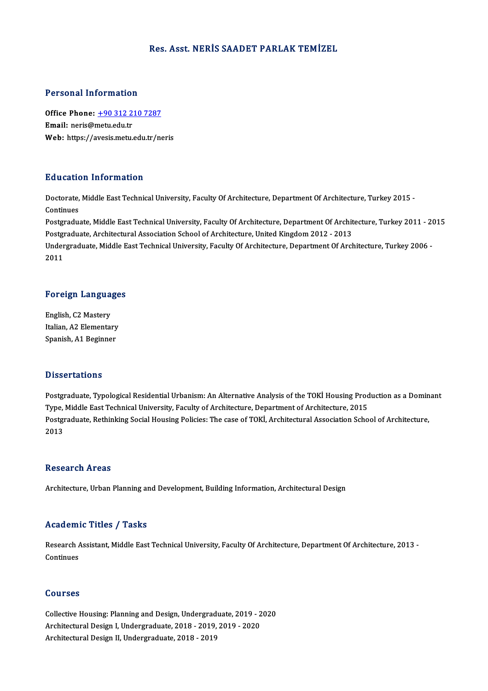#### Res. Asst.NERİS SAADET PARLAK TEMİZEL

### Personal Information

Personal Information<br>Office Phone: <u>+90 312 210 7287</u><br>Email: neric@metu.edu.tr office Phone: <u>+90 312 2</u><br>Email: neris@metu.edu.tr<br>Web: https://avesis.metu. Email: neris@metu.edu.tr<br>Web: https://a[vesis.metu.edu.tr/n](tel:+90 312 210 7287)eris

### Education Information

**Education Information**<br>Doctorate, Middle East Technical University, Faculty Of Architecture, Department Of Architecture, Turkey 2015 -<br>Continues Doctorate,<br>Continues<br>Postaredus Doctorate, Middle East Technical University, Faculty Of Architecture, Department Of Architecture, Turkey 2015 -<br>Continues<br>Postgraduate, Middle East Technical University, Faculty Of Architecture, Department Of Architecture,

Continues<br>Postgraduate, Middle East Technical University, Faculty Of Architecture, Department Of Archit<br>Postgraduate, Architectural Association School of Architecture, United Kingdom 2012 - 2013<br>Undergraduate, Middle Fast Postgraduate, Middle East Technical University, Faculty Of Architecture, Department Of Architecture, Turkey 2011 - 2<br>Postgraduate, Architectural Association School of Architecture, United Kingdom 2012 - 2013<br>Undergraduate,

Postgi<br>Under<br>2011

# <sub>2011</sub><br>Foreign Languages

**Foreign Langua**<br>English, C2 Mastery<br>Italian A2 Elementar English, C2 Mastery<br>Italian, A2 Elementary Spanish, A1 Beginner

#### **Dissertations**

Postgraduate, Typological Residential Urbanism: An Alternative Analysis of the TOKİ Housing Production as a Dominant D'isser carre ins<br>Postgraduate, Typological Residential Urbanism: An Alternative Analysis of the TOKİ Housing Prod<br>Type, Middle East Technical University, Faculty of Architecture, Department of Architecture, 2015<br>Postgradu Postgraduate, Rethinking Social Housing Policies: The case of TOKİ, Architectural Association School of Architecture,<br>2013 Type,<br>Postgi<br>2013

#### Research Areas

Architecture, Urban Planning and Development, Building Information, Architectural Design

# Academic Titles / Tasks

Academic Titles / Tasks<br>Research Assistant, Middle East Technical University, Faculty Of Architecture, Department Of Architecture, 2013 -<br>Continues Research A<br>Continues Continues<br>Courses

Courses<br>Collective Housing: Planning and Design, Undergraduate, 2019 - 2020<br>Architectural Design L Undergraduate, 2019 - 2019 - 2019 - 2020 Sources<br>Collective Housing: Planning and Design, Undergraduate, 2019 - 2<br>Architectural Design I, Undergraduate, 2018 - 2019, 2019 - 2020<br>Architectural Design II, Undergraduate, 2018 - 2019 Collective Housing: Planning and Design, Undergrad<br>Architectural Design I, Undergraduate, 2018 - 2019,<br>Architectural Design II, Undergraduate, 2018 - 2019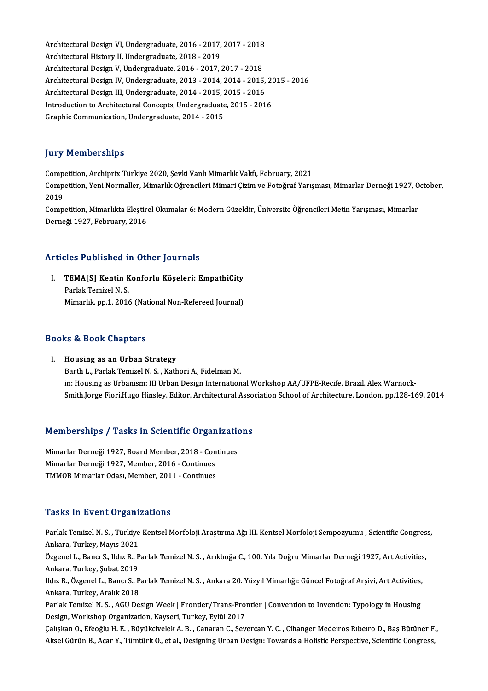Architectural Design VI, Undergraduate, 2016 - 2017, 2017 - 2018<br>Architectural History II, Undergraduate, 2016 - 2019, 2017 - 2018 Architectural Design VI, Undergraduate, 2016 - 2017,<br>Architectural History II, Undergraduate, 2018 - 2019<br>Architectural Design V, Undergraduate, 2016 - 2017 Architectural Design VI, Undergraduate, 2016 - 2017, 2017 - 2018<br>Architectural History II, Undergraduate, 2018 - 2019<br>Architectural Design V, Undergraduate, 2016 - 2017, 2017 - 2018<br>Architectural Design IV, Undergraduate, Architectural History II, Undergraduate, 2018 - 2019<br>Architectural Design V, Undergraduate, 2016 - 2017, 2017 - 2018<br>Architectural Design IV, Undergraduate, 2013 - 2014, 2014 - 2015, 2015 - 2016<br>Architectural Design III, U Architectural Design V, Undergraduate, 2016 - 2017, 2017 - 2018<br>Architectural Design IV, Undergraduate, 2013 - 2014, 2014 - 2015,<br>Architectural Design III, Undergraduate, 2014 - 2015, 2015 - 2016<br>Introduction to Architectu Architectural Design IV, Undergraduate, 2013 - 2014, 2014 - 2015, 20<br>Architectural Design III, Undergraduate, 2014 - 2015, 2015 - 2016<br>Introduction to Architectural Concepts, Undergraduate, 2015 - 2016<br>Craphic Communicatio Architectural Design III, Undergraduate, 2014 - 2015, 2015 - 2016<br>Introduction to Architectural Concepts, Undergraduate, 2015 - 2016<br>Graphic Communication, Undergraduate, 2014 - 2015

# **Jury Memberships**

**Jury Memberships<br>Competition, Archiprix Türkiye 2020, Şevki Vanlı Mimarlık Vakfı, February, 2021**<br>Competition, Yani Narmallar, Mimarlık Öğrengileri Mimari Cirim ve Estoğraf Yarıs yar y Tremberempe<br>Competition, Archiprix Türkiye 2020, Şevki Vanlı Mimarlık Vakfı, February, 2021<br>Competition, Yeni Normaller, Mimarlık Öğrencileri Mimari Çizim ve Fotoğraf Yarışması, Mimarlar Derneği 1927, October, Comp<br>Comp<br>2019<br>Comp Competition, Yeni Normaller, Mimarlık Öğrencileri Mimari Çizim ve Fotoğraf Yarışması, Mimarlar Derneği 1927, O<br>2019<br>Competition, Mimarlıkta Eleştirel Okumalar 6: Modern Güzeldir, Üniversite Öğrencileri Metin Yarışması, Mim

2019<br>Competition, Mimarlıkta Eleştirel Okumalar 6: Modern Güzeldir, Üniversite Öğrencileri Metin Yarışması, Mimarlar<br>Derneği 1927, February, 2016

#### Articles Published in Other Journals

rticles Published in Other Journals<br>I. TEMA[S] Kentin Konforlu Köşeleri: EmpathiCity<br>Rarlak Temirel N.S TEMA[S] Kentin K<br>Parlak Temizel N. S.<br>Mimarlik nn 1–2014 Parlak Temizel N. S.<br>Mimarlık, pp.1, 2016 (National Non-Refereed Journal)

#### Books&Book Chapters

I. Housing as an Urban Strategy Barth L., Parlak Temizel N. S., Kathori A., Fidelman M. in: Housing as Urbanism: III Urban Design International Workshop AA/UFPE-Recife, Brazil, Alex Warnock-Smith,Jorge Fiori,Hugo Hinsley, Editor, Architectural Association School of Architecture, London, pp.128-169, 2014

# Smith, Jorge Flori, Hugo Hinsley, Editor, Architectural Associations<br>Memberships / Tasks in Scientific Organizations

Memberships / Tasks in Scientific Organization<br>Mimarlar Derneği 1927, Board Member, 2018 - Continues<br>Mimarlar Derneği 1927, Member, 2016, Continues Mimarlar Derneği 1927, Board Member, 2018 - Continues<br>Mimarlar Derneği 1927, Board Member, 2018 - Cont<br>Mimarlar Derneği 1927, Member, 2016 - Continues Mimarlar Derneği 1927, Board Member, 2018 - Con<br>Mimarlar Derneği 1927, Member, 2016 - Continues<br>TMMOB Mimarlar Odası, Member, 2011 - Continues TMMOB Mimarlar Odası, Member, 2011 - Continues<br>Tasks In Event Organizations

Tasks In Event Organizations<br>Parlak Temizel N.S. , Türkiye Kentsel Morfoloji Araştırma Ağı III. Kentsel Morfoloji Sempozyumu , Scientific Congress,<br>Ankana Turkay Mayıs 2021 Auska An Event of gam.<br>Parlak Temizel N. S. , Türkiye<br>Ankara, Turkey, Mayıs 2021 Parlak Temizel N. S. , Türkiye Kentsel Morfoloji Araştırma Ağı III. Kentsel Morfoloji Sempozyumu , Scientific Congres<br>Ankara, Turkey, Mayıs 2021<br>Özgenel L., Bancı S., Ildız R., Parlak Temizel N. S. , Arıkboğa C., 100. Yıla Ankara, Turkey, Mayıs 2021<br>Özgenel L., Bancı S., Ildız R., Parlak Temizel N. S. , Arıkboğa C., 100. Yıla Doğru Mimarlar Derneği 1927, Art Activities,<br>Ankara, Turkey, Şubat 2019 Özgenel L., Bancı S., Ildız R., Parlak Temizel N. S. , Arıkboğa C., 100. Yıla Doğru Mimarlar Derneği 1927, Art Activities<br>Ankara, Turkey, Şubat 2019<br>Ildız R., Özgenel L., Bancı S., Parlak Temizel N. S. , Ankara 20. Yüzyıl Ankara, Turkey, Şubat 2019<br>Ildız R., Özgenel L., Bancı S., P<br>Ankara, Turkey, Aralık 2018<br>Parlak Tomizel N. S., ACU De Ildız R., Özgenel L., Bancı S., Parlak Temizel N. S. , Ankara 20. Yüzyıl Mimarlığı: Güncel Fotoğraf Arşivi, Art Activities,<br>Ankara, Turkey, Aralık 2018<br>Parlak Temizel N. S. , AGU Design Week | Frontier/Trans-Frontier | Con Ankara, Turkey, Aralık 2018<br>Parlak Temizel N. S. , AGU Design Week | Frontier/Trans-Fron<br>Design, Workshop Organization, Kayseri, Turkey, Eylül 2017<br>Calislan O. Efecălu H. E., Büyülseyelek A. B., Canaran C. Sev Parlak Temizel N. S. , AGU Design Week | Frontier/Trans-Frontier | Convention to Invention: Typology in Housing<br>Design, Workshop Organization, Kayseri, Turkey, Eylül 2017<br>Çalışkan O., Efeoğlu H. E. , Büyükcivelek A. B. , C Design, Workshop Organization, Kayseri, Turkey, Eylül 2017<br>Çalışkan O., Efeoğlu H. E. , Büyükcivelek A. B. , Canaran C., Severcan Y. C. , Cihanger Medeıros Rıbeıro D., Baş Bütüner F.,<br>Aksel Gürün B., Acar Y., Tümtürk O., e